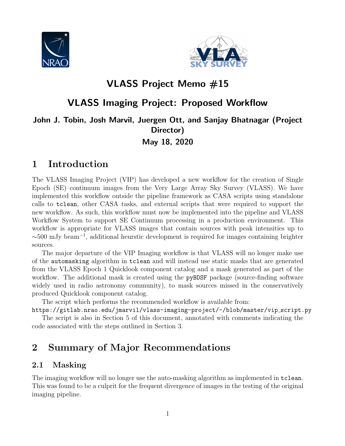



# VLASS Project Memo #15

# VLASS Imaging Project: Proposed Workflow

## John J. Tobin, Josh Marvil, Juergen Ott, and Sanjay Bhatnagar (Project Director) May 18, 2020

# 1 Introduction

The VLASS Imaging Project (VIP) has developed a new workflow for the creation of Single Epoch (SE) continuum images from the Very Large Array Sky Survey (VLASS). We have implemented this workflow outside the pipeline framework as CASA scripts using standalone calls to tclean, other CASA tasks, and external scripts that were required to support the new workflow. As such, this workflow must now be implemented into the pipeline and VLASS Workflow System to support SE Continuum processing in a production environment. This workflow is appropriate for VLASS images that contain sources with peak intensities up to ∼500 mJy beam<sup>−</sup><sup>1</sup> , additional heurstic development is required for images containing brighter sources.

The major departure of the VIP Imaging workflow is that VLASS will no longer make use of the automasking algorithm in tclean and will instead use static masks that are generated from the VLASS Epoch 1 Quicklook component catalog and a mask generated as part of the workflow. The additional mask is created using the **pyBDSF** package (source-finding software widely used in radio astronomy community), to mask sources missed in the conservatively produced Quicklook component catalog.

The script which performs the recommended workflow is available from:

https://gitlab.nrao.edu/jmarvil/vlass-imaging-project/-/blob/master/vip script.py The script is also in Section 5 of this document, annotated with comments indicating the code associated with the steps outlined in Section 3.

# 2 Summary of Major Recommendations

## 2.1 Masking

The imaging workflow will no longer use the auto-masking algorithm as implemented in tclean. This was found to be a culprit for the frequent divergence of images in the testing of the original imaging pipeline.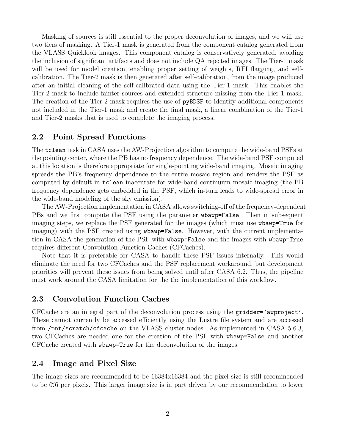Masking of sources is still essential to the proper deconvolution of images, and we will use two tiers of masking. A Tier-1 mask is generated from the component catalog generated from the VLASS Quicklook images. This component catalog is conservatively generated, avoiding the inclusion of significant artifacts and does not include QA rejected images. The Tier-1 mask will be used for model creation, enabling proper setting of weights, RFI flagging, and selfcalibration. The Tier-2 mask is then generated after self-calibration, from the image produced after an initial cleaning of the self-calibrated data using the Tier-1 mask. This enables the Tier-2 mask to include fainter sources and extended structure missing from the Tier-1 mask. The creation of the Tier-2 mask requires the use of pyBDSF to identify additional components not included in the Tier-1 mask and create the final mask, a linear combination of the Tier-1 and Tier-2 masks that is used to complete the imaging process.

#### 2.2 Point Spread Functions

The tclean task in CASA uses the AW-Projection algorithm to compute the wide-band PSFs at the pointing center, where the PB has no frequency dependence. The wide-band PSF computed at this location is therefore appropriate for single-pointing wide-band imaging. Mosaic imaging spreads the PB's frequency dependence to the entire mosaic region and renders the PSF as computed by default in tclean inaccurate for wide-band continuum mosaic imaging (the PB frequency dependence gets embedded in the PSF, which in-turn leads to wide-spread error in the wide-band modeling of the sky emission).

The AW-Projection implementation in CASA allows switching-off of the frequency-dependent PBs and we first compute the PSF using the parameter wbawp=False. Then in subsequent imaging steps, we replace the PSF generated for the images (which must use wbawp=True for imaging) with the PSF created using wbawp=False. However, with the current implementation in CASA the generation of the PSF with wbawp=False and the images with wbawp=True requires different Convolution Function Caches (CFCaches).

Note that it is preferable for CASA to handle these PSF issues internally. This would eliminate the need for two CFCaches and the PSF replacement workaround, but development priorities will prevent these issues from being solved until after CASA 6.2. Thus, the pipeline must work around the CASA limitation for the the implementation of this workflow.

#### 2.3 Convolution Function Caches

CFCache are an integral part of the deconvolution process using the gridder='awproject'. These cannot currently be accessed efficiently using the Lustre file system and are accessed from /mnt/scratch/cfcache on the VLASS cluster nodes. As implemented in CASA 5.6.3, two CFCaches are needed one for the creation of the PSF with wbawp=False and another CFCache created with wbawp=True for the deconvolution of the images.

#### 2.4 Image and Pixel Size

The image sizes are recommended to be 16384x16384 and the pixel size is still recommended to be 0. of per pixels. This larger image size is in part driven by our recommendation to lower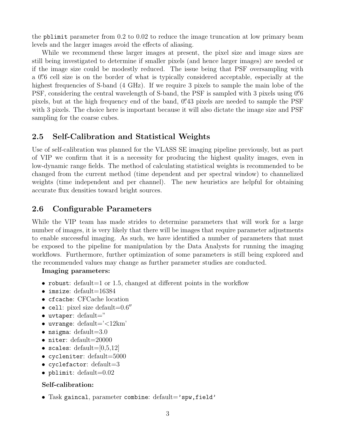the pblimit parameter from 0.2 to 0.02 to reduce the image truncation at low primary beam levels and the larger images avoid the effects of aliasing.

While we recommend these larger images at present, the pixel size and image sizes are still being investigated to determine if smaller pixels (and hence larger images) are needed or if the image size could be modestly reduced. The issue being that PSF oversampling with a 0.<sup>"</sup> of cell size is on the border of what is typically considered acceptable, especially at the highest frequencies of S-band (4 GHz). If we require 3 pixels to sample the main lobe of the PSF, considering the central wavelength of S-band, the PSF is sampled with 3 pixels using 0.6 pixels, but at the high frequency end of the band, 0. 43 pixels are needed to sample the PSF with 3 pixels. The choice here is important because it will also dictate the image size and PSF sampling for the coarse cubes.

### 2.5 Self-Calibration and Statistical Weights

Use of self-calibration was planned for the VLASS SE imaging pipeline previously, but as part of VIP we confirm that it is a necessity for producing the highest quality images, even in low-dynamic range fields. The method of calculating statistical weights is recommended to be changed from the current method (time dependent and per spectral window) to channelized weights (time independent and per channel). The new heuristics are helpful for obtaining accurate flux densities toward bright sources.

### 2.6 Configurable Parameters

While the VIP team has made strides to determine parameters that will work for a large number of images, it is very likely that there will be images that require parameter adjustments to enable successful imaging. As such, we have identified a number of parameters that must be exposed to the pipeline for manipulation by the Data Analysts for running the imaging workflows. Furthermore, further optimization of some parameters is still being explored and the recommended values may change as further parameter studies are conducted.

#### Imaging parameters:

- robust: default=1 or 1.5, changed at different points in the workflow
- imsize: default=16384
- cfcache: CFCache location
- cell: pixel size default= $0.6$ <sup>n</sup>
- uvtaper: default="
- uvrange: default= $\textdegree$  <12km'
- nsigma: default=3.0
- niter: default=20000
- scales: default= $[0,5,12]$
- cycleniter: default=5000
- cyclefactor:  $default=3$
- pblimit: default= $0.02$

#### Self-calibration:

• Task gaincal, parameter combine:  $default='spw, field'$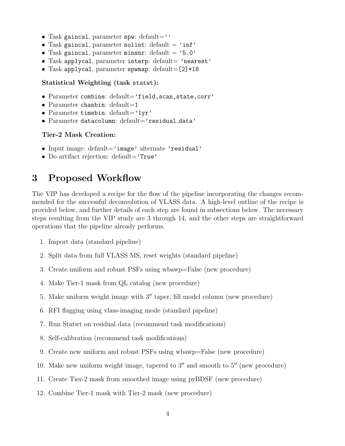- Task gaincal, parameter spw:  $default='$
- Task gaincal, parameter solint: default =  $'$ inf'
- Task gaincal, parameter minsnr: default =  $'5.0'$
- Task applycal, parameter interp: default= 'nearest'
- Task applycal, parameter spwmap: default=[2]\*18

#### Statistical Weighting (task statwt):

- Parameter combine: default='field, scan, state, corr'
- Parameter chanbin: default=1
- Parameter timebin:  $default='1yr'$
- Parameter datacolumn: default='residual\_data'

#### Tier-2 Mask Creation:

- Input image: default='image' alternate 'residual'
- Do artifact rejection: default='True'

## 3 Proposed Workflow

The VIP has developed a recipe for the flow of the pipeline incorporating the changes recommended for the successful deconvolution of VLASS data. A high-level outline of the recipe is provided below, and further details of each step are found in subsections below. The necessary steps resulting from the VIP study are 3 through 14, and the other steps are straightforward operations that the pipeline already performs.

- 1. Import data (standard pipeline)
- 2. Split data from full VLASS MS, reset weights (standard pipeline)
- 3. Create uniform and robust PSFs using wbawp=False (new procedure)
- 4. Make Tier-1 mask from QL catalog (new procedure)
- 5. Make uniform weight image with  $3''$  taper, fill model column (new procedure)
- 6. RFI flagging using vlass-imaging mode (standard pipeline)
- 7. Run Statwt on residual data (recommend task modifications)
- 8. Self-calibration (recommend task modifications)
- 9. Create new uniform and robust PSFs using wbawp=False (new procedure)
- 10. Make new uniform weight image, tapered to  $3<sup>''</sup>$  and smooth to  $5<sup>''</sup>$  (new procedure)
- 11. Create Tier-2 mask from smoothed image using pyBDSF (new procedure)
- 12. Combine Tier-1 mask with Tier-2 mask (new procedure)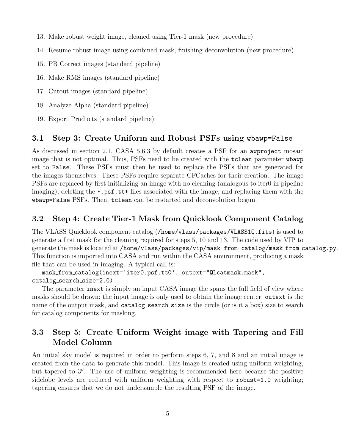- 13. Make robust weight image, cleaned using Tier-1 mask (new procedure)
- 14. Resume robust image using combined mask, finishing deconvolution (new procedure)
- 15. PB Correct images (standard pipeline)
- 16. Make RMS images (standard pipeline)
- 17. Cutout images (standard pipeline)
- 18. Analyze Alpha (standard pipeline)
- 19. Export Products (standard pipeline)

#### 3.1 Step 3: Create Uniform and Robust PSFs using wbawp=False

As discussed in section 2.1, CASA 5.6.3 by default creates a PSF for an awproject mosaic image that is not optimal. Thus, PSFs need to be created with the tclean parameter wbawp set to False. These PSFs must then be used to replace the PSFs that are generated for the images themselves. These PSFs require separate CFCaches for their creation. The image PSFs are replaced by first initializing an image with no cleaning (analogous to iter0 in pipeline imaging), deleting the \*.psf.tt\* files associated with the image, and replacing them with the wbawp=False PSFs. Then, tclean can be restarted and deconvolution begun.

#### 3.2 Step 4: Create Tier-1 Mask from Quicklook Component Catalog

The VLASS Quicklook component catalog (/home/vlass/packages/VLASS1Q.fits) is used to generate a first mask for the cleaning required for steps 5, 10 and 13. The code used by VIP to generate the mask is located at /home/vlass/packages/vip/mask-from-catalog/mask from catalog.py. This function is imported into CASA and run within the CASA environment, producing a mask file that can be used in imaging. A typical call is:

mask\_from\_catalog(inext='iter0.psf.tt0', outext="QLcatmask.mask", catalog\_search\_size=2.0).

The parameter inext is simply an input CASA image the spans the full field of view where masks should be drawn; the input image is only used to obtain the image center, outext is the name of the output mask, and catalog-search size is the circle (or is it a box) size to search for catalog components for masking.

## 3.3 Step 5: Create Uniform Weight image with Tapering and Fill Model Column

An initial sky model is required in order to perform steps 6, 7, and 8 and an initial image is created from the data to generate this model. This image is created using uniform weighting, but tapered to  $3''$ . The use of uniform weighting is recommended here because the positive sidelobe levels are reduced with uniform weighting with respect to robust=1.0 weighting; tapering ensures that we do not undersample the resulting PSF of the image.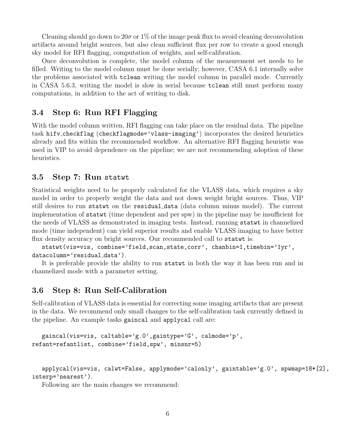Cleaning should go down to  $20\sigma$  or  $1\%$  of the image peak flux to avoid cleaning deconvolution artifacts around bright sources, but also clean sufficient flux per row to create a good enough sky model for RFI flagging, computation of weights, and self-calibration.

Once deconvolution is complete, the model column of the measurement set needs to be filled. Writing to the model column must be done serially; however, CASA 6.1 internally solve the problems associated with tclean writing the model column in parallel mode. Currently in CASA 5.6.3, writing the model is slow in serial because tclean still must perform many computations, in addition to the act of writing to disk.

### 3.4 Step 6: Run RFI Flagging

With the model column written, RFI flagging can take place on the residual data. The pipeline task hifv checkflag (checkflagmode='vlass-imaging') incorporates the desired heuristics already and fits within the recommended workflow. An alternative RFI flagging heuristic was used in VIP to avoid dependence on the pipeline; we are not recommending adoption of these heuristics.

#### 3.5 Step 7: Run statwt

Statistical weights need to be properly calculated for the VLASS data, which requires a sky model in order to properly weight the data and not down weight bright sources. Thus, VIP still desires to run statwt on the residual data (data column minus model). The current implementation of statwt (time dependent and per spw) in the pipeline may be insufficient for the needs of VLASS as demonstrated in imaging tests. Instead, running statwt in channelized mode (time independent) can yield superior results and enable VLASS imaging to have better flux density accuracy on bright sources. Our recommended call to statwt is:

statwt(vis=vis, combine='field,scan,state,corr', chanbin=1,timebin='1yr', datacolumn='residual data').

It is preferable provide the ability to run statwt in both the way it has been run and in channelized mode with a parameter setting.

### 3.6 Step 8: Run Self-Calibration

Self-calibration of VLASS data is essential for correcting some imaging artifacts that are present in the data. We recommend only small changes to the self-calibration task currently defined in the pipeline. An example tasks gaincal and applycal call are:

```
gaincal(vis=vis, caltable='g.0',gaintype='G', calmode='p',
refant=refantlist, combine='field,spw', minsnr=5)
```

```
applycal(vis=vis, calwt=False, applymode='calonly', gaintable='g.0', spwmap=18*[2],
interp='nearest').
```
Following are the main changes we recommend: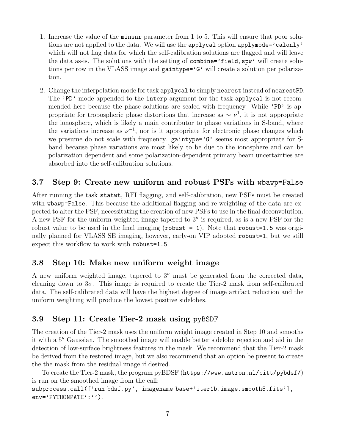- 1. Increase the value of the minsnr parameter from 1 to 5. This will ensure that poor solutions are not applied to the data. We will use the applycal option applymode='calonly' which will not flag data for which the self-calibration solutions are flagged and will leave the data as-is. The solutions with the setting of combine='field,spw' will create solutions per row in the VLASS image and gaintype='G' will create a solution per polarization.
- 2. Change the interpolation mode for task applycal to simply nearest instead of nearestPD. The 'PD' mode appended to the interp argument for the task applycal is not recommended here because the phase solutions are scaled with frequency. While 'PD' is appropriate for tropospheric phase distortions that increase as  $\sim \nu^1$ , it is not appropriate the ionosphere, which is likely a main contributor to phase variations in S-band, where the variations increase as  $\nu^{-1}$ , nor is it appropriate for electronic phase changes which we presume do not scale with frequency.  $\text{gaintype} = G'$  seems most appropriate for Sband because phase variations are most likely to be due to the ionosphere and can be polarization dependent and some polarization-dependent primary beam uncertainties are absorbed into the self-calibration solutions.

### 3.7 Step 9: Create new uniform and robust PSFs with wbawp=False

After running the task statwt, RFI flagging, and self-calibration, new PSFs must be created with wbawp=False. This because the additional flagging and re-weighting of the data are expected to alter the PSF, necessitating the creation of new PSFs to use in the final deconvolution. A new PSF for the uniform weighted image tapered to  $3''$  is required, as is a new PSF for the robust value to be used in the final imaging (robust = 1). Note that robust=1.5 was originally planned for VLASS SE imaging, however, early-on VIP adopted robust=1, but we still expect this workflow to work with robust=1.5.

### 3.8 Step 10: Make new uniform weight image

A new uniform weighted image, tapered to  $3<sup>''</sup>$  must be generated from the corrected data, cleaning down to  $3\sigma$ . This image is required to create the Tier-2 mask from self-calibrated data. The self-calibrated data will have the highest degree of image artifact reduction and the uniform weighting will produce the lowest positive sidelobes.

### 3.9 Step 11: Create Tier-2 mask using pyBSDF

The creation of the Tier-2 mask uses the uniform weight image created in Step 10 and smooths it with a 5<sup>"</sup> Gaussian. The smoothed image will enable better sidelobe rejection and aid in the detection of low-surface brightness features in the mask. We recommend that the Tier-2 mask be derived from the restored image, but we also recommend that an option be present to create the the mask from the residual image if desired.

To create the Tier-2 mask, the program pyBDSF (https://www.astron.nl/citt/pybdsf/) is run on the smoothed image from the call:

subprocess.call(['run\_bdsf.py', imagename\_base+'iter1b.image.smooth5.fits'], env='PYTHONPATH':'').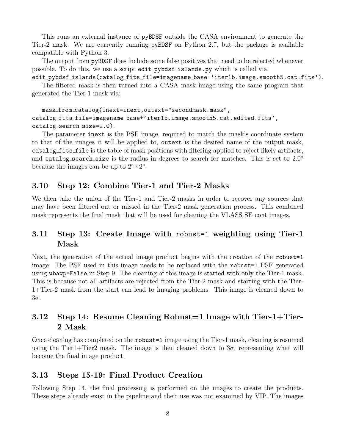This runs an external instance of pyBDSF outside the CASA environment to generate the Tier-2 mask. We are currently running pyBDSF on Python 2.7, but the package is available compatible with Python 3.

The output from pyBDSF does include some false positives that need to be rejected whenever possible. To do this, we use a script edit pybdsf islands.py which is called via:

edit pybdsf islands(catalog fits file=imagename base+'iter1b.image.smooth5.cat.fits'). The filtered mask is then turned into a CASA mask image using the same program that generated the Tier-1 mask via:

mask from catalog(inext=inext,outext="secondmask.mask", catalog fits file=imagename base+'iter1b.image.smooth5.cat.edited.fits', catalog search size=2.0).

The parameter inext is the PSF image, required to match the mask's coordinate system to that of the images it will be applied to, outext is the desired name of the output mask, catalog fits file is the table of mask positions with filtering applied to reject likely artifacts, and catalog search size is the radius in degrees to search for matches. This is set to  $2.0°$ because the images can be up to  $2^{\circ} \times 2^{\circ}$ .

## 3.10 Step 12: Combine Tier-1 and Tier-2 Masks

We then take the union of the Tier-1 and Tier-2 masks in order to recover any sources that may have been filtered out or missed in the Tier-2 mask generation process. This combined mask represents the final mask that will be used for cleaning the VLASS SE cont images.

## 3.11 Step 13: Create Image with robust=1 weighting using Tier-1 Mask

Next, the generation of the actual image product begins with the creation of the robust=1 image. The PSF used in this image needs to be replaced with the robust=1 PSF generated using wbawp=False in Step 9. The cleaning of this image is started with only the Tier-1 mask. This is because not all artifacts are rejected from the Tier-2 mask and starting with the Tier-1+Tier-2 mask from the start can lead to imaging problems. This image is cleaned down to 3σ.

## 3.12 Step 14: Resume Cleaning Robust=1 Image with Tier-1+Tier-2 Mask

Once cleaning has completed on the robust=1 image using the Tier-1 mask, cleaning is resumed using the Tier1+Tier2 mask. The image is then cleaned down to  $3\sigma$ , representing what will become the final image product.

### 3.13 Steps 15-19: Final Product Creation

Following Step 14, the final processing is performed on the images to create the products. These steps already exist in the pipeline and their use was not examined by VIP. The images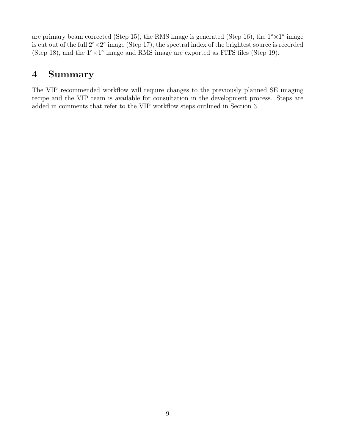are primary beam corrected (Step 15), the RMS image is generated (Step 16), the  $1° \times 1°$  image is cut out of the full  $2^{\circ} \times 2^{\circ}$  image (Step 17), the spectral index of the brightest source is recorded (Step 18), and the  $1° \times 1°$  image and RMS image are exported as FITS files (Step 19).

# 4 Summary

The VIP recommended workflow will require changes to the previously planned SE imaging recipe and the VIP team is available for consultation in the development process. Steps are added in comments that refer to the VIP workflow steps outlined in Section 3.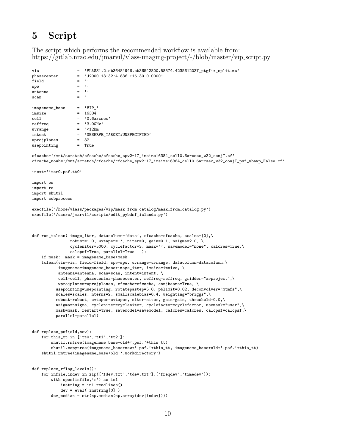# 5 Script

The script which performs the recommended workflow is available from: https://gitlab.nrao.edu/jmarvil/vlass-imaging-project/-/blob/master/vip script.py

```
vis = 'VLASS1.2.sb36484946.eb36542800.58574.4235612037_ptgfix_split.ms'
phasecenter = 'J2000 13:32:4.836 +16.30.0.0000'
field = ''
spw = ''<br>antenna = ''
antennascan = ''
imagename_base = 'VIP_'
imsize = 16384cell = '0.6arcsec'<br>
reffreq = '3.0GHz'
                 = '3.0GHz'
uvrange = '<12km'
intent = 'OBSERVE_TARGET#UNSPECIFIED'
wprojplanes = 32<br>usepointing = True
usepointing
cfcache='/mnt/scratch/cfcache/cfcache_spw2-17_imsize16384_cell0.6arcsec_w32_conjT.cf'
cfcache_nowb='/mnt/scratch/cfcache/cfcache_spw2-17_imsize16384_cell0.6arcsec_w32_conjT_psf_wbawp_False.cf'
inext='iter0.psf.tt0'
import os
import re
import shutil
import subprocess
execfile('/home/vlass/packages/vip/mask-from-catalog/mask_from_catalog.py')
execfile('/users/jmarvil/scripts/edit_pybdsf_islands.py')
def run_tclean( image_iter, datacolumn='data', cfcache=cfcache, scales=[0],\
               robust=1.0, uvtaper='', niter=0, gain=0.1, nsigma=2.0, \setminuscycleniter=5000, cyclefactor=3, mask='', savemodel="none", calcres=True,\
               calcpsf=True, parallel=True ):
    if mask: mask = imagename_base+mask
    tclean(vis=vis, field=field, spw=spw, uvrange=uvrange, datacolumn=datacolumn,\
           imagename=imagename_base+image_iter, imsize=imsize, \
           antenna=antenna, scan=scan, intent=intent, \
           cell=cell, phasecenter=phasecenter, reffreq=reffreq, gridder="awproject",\
           wprojplanes=wprojplanes, cfcache=cfcache, conjbeams=True, \
          usepointing=usepointing, rotatepastep=5.0, pblimit=0.02, deconvolver="mtmfs",\
          scales=scales, nterms=2, smallscalebias=0.4, weighting="briggs",\
         robust=robust, uvtaper=uvtaper, niter=niter, gain=gain, threshold=0.0,\
         nsigma=nsigma, cycleniter=cycleniter, cyclefactor=cyclefactor, usemask="user",\
         mask=mask, restart=True, savemodel=savemodel, calcres=calcres, calcpsf=calcpsf,\
         parallel=parallel)
def replace_psf(old,new):
    for this_tt in ['tt0','tt1','tt2']:
       shutil.rmtree(imagename_base+old+'.psf.'+this_tt)
        shutil.copytree(imagename_base+new+'.psf.'+this_tt, imagename_base+old+'.psf.'+this_tt)
    shutil.rmtree(imagename_base+old+'.workdirectory')
def replace_rflag_levels():
    for infile,indev in zip(['fdev.txt','tdev.txt'],['freqdev','timedev']):
       with open(infile,'r') as in1:
           instring = in1.readlines()
           dev = eval( instring[0] )
        dev_median = str(np.median(np.array(dev[indev])))
```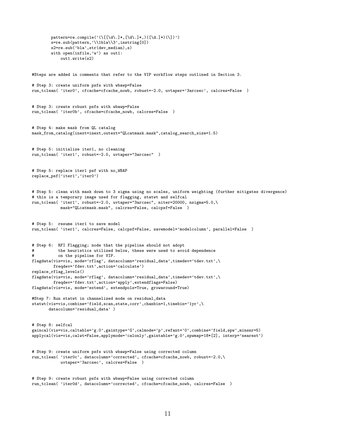```
pattern=re.compile('(\[[\d\.]*,[\d\.]*,)([\d.]*)(\])')
        s=re.sub(pattern,'\\1bla\\3',instring[0])
        s2=re.sub('bla',str(dev_median),s)
        with open(infile,'w') as out1:
            out1.write(s2)
#Steps are added in comments that refer to the VIP workflow steps outlined in Section 3.
# Step 3: create uniform psfs with wbawp=False
run_tclean( 'iter0', cfcache=cfcache_nowb, robust=-2.0, uvtaper='3arcsec', calcres=False )
# Step 3: create robust psfs with wbawp=False
run_tclean( 'iter0b', cfcache=cfcache_nowb, calcres=False )
# Step 4: make mask from QL catalog
mask_from_catalog(inext=inext,outext="QLcatmask.mask",catalog_search_size=1.5)
# Step 5: initialize iter1, no cleaning
run_tclean( 'iter1', robust=-2.0, uvtaper="3arcsec" )
# Step 5: replace iter1 psf with no_WBAP
replace_psf('iter1','iter0')
# Step 5: clean with mask down to 3 sigma using no scales, uniform weighting (further mitigates divergence)
# this is a temporary image used for flagging, statwt and selfcal
run_tclean( 'iter1', robust=-2.0, uvtaper="3arcsec", niter=20000, nsigma=5.0,\
            mask="QLcatmask.mask", calcres=False, calcpsf=False )
# Step 5: resume iter1 to save model
run_tclean( 'iter1', calcres=False, calcpsf=False, savemodel='modelcolumn', parallel=False )
# Step 6: RFI Flagging; node that the pipeline should not adopt
# the heuristics utilized below, these were used to avoid dependence
# on the pipeline for VIP.
flagdata(vis=vis, mode='rflag', datacolumn='residual_data',timedev='tdev.txt',\
         freqdev='fdev.txt',action='calculate')
replace_rflag_levels()
flagdata(vis=vis, mode='rflag', datacolumn='residual_data',timedev='tdev.txt',\
         freqdev='fdev.txt',action='apply',extendflags=False)
flagdata(vis=vis, mode='extend', extendpols=True, growaround=True)
#Step 7: Run statwt in channelized mode on residual_data
statwt(vis=vis,combine='field,scan,state,corr',chanbin=1,timebin='1yr',\
       datacolumn='residual_data' )
# Step 8: selfcal
gaincal(vis=vis,caltable='g.0',gaintype='G',calmode='p',refant='0',combine='field,spw',minsnr=5)
applycal(vis=vis,calwt=False,applymode='calonly',gaintable='g.0',spwmap=18*[2], interp='nearest')
# Step 9: create uniform psfs with wbawp=False using corrected column
run_tclean( 'iter0c', datacolumn='corrected', cfcache=cfcache_nowb, robust=-2.0,\
            uvtaper='3arcsec', calcres=False )
# Step 9: create robust psfs with wbawp=False using corrected column
```

```
11
```
run\_tclean( 'iter0d', datacolumn='corrected', cfcache=cfcache\_nowb, calcres=False )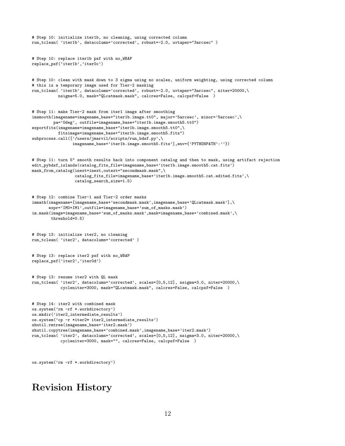```
# Step 10: initialize iter1b, no cleaning, using corrected column
run_tclean( 'iter1b', datacolumn='corrected', robust=-2.0, uvtaper="3arcsec" )
# Step 10: replace iter1b psf with no_WBAP
replace_psf('iter1b','iter0c')
# Step 10: clean with mask down to 3 sigma using no scales, uniform weighting, using corrected column
# this is a temporary image used for Tier-2 masking
run_tclean( 'iter1b', datacolumn='corrected', robust=-2.0, uvtaper="3arcsec", niter=20000,\
           nsigma=5.0, mask="QLcatmask.mask", calcres=False, calcpsf=False )
# Step 11: make Tier-2 mask from iter1 image after smoothing
imsmooth(imagename=imagename_base+"iter1b.image.tt0", major='5arcsec', minor='5arcsec',\
         pa='0deg', outfile=imagename_base+"iter1b.image.smooth5.tt0")
exportfits(imagename=imagename_base+"iter1b.image.smooth5.tt0",\
           fitsimage=imagename_base+"iter1b.image.smooth5.fits")
subprocess.call(['/users/jmarvil/scripts/run_bdsf.py',\
                 imagename_base+'iter1b.image.smooth5.fits'],env={'PYTHONPATH':''})
# Step 11: turn 5" smooth results back into component catalog and then to mask, using artifact rejection
edit_pybdsf_islands(catalog_fits_file=imagename_base+'iter1b.image.smooth5.cat.fits')
mask_from_catalog(inext=inext,outext="secondmask.mask",\
                  catalog_fits_file=imagename_base+'iter1b.image.smooth5.cat.edited.fits',\
                  catalog_search_size=1.5)
# Step 12: combine Tier-1 and Tier-2 order masks
\verb|imath(imagename=[imagenamebase+'secondmask.max',imagename_base+'QLcatmask'.mask')\rangle \landexpr='IM0+IM1',outfile=imagename_base+'sum_of_masks.mask')
im.mask(image=imagename_base+'sum_of_masks.mask',mask=imagename_base+'combined.mask',\
        threshold=0.5)
# Step 13: initialize iter2, no cleaning
run_tclean( 'iter2', datacolumn='corrected' )
# Step 13: replace iter2 psf with no_WBAP
replace_psf('iter2','iter0d')
# Step 13: resume iter2 with QL mask
run_tclean( 'iter2', datacolumn='corrected', scales=[0,5,12], nsigma=3.0, niter=20000,\
            cycleniter=3000, mask="QLcatmask.mask", calcres=False, calcpsf=False )
# Step 14: iter2 with combined mask
os.system('rm -rf *.workdirectory')
os.mkdir('iter2_intermediate_results')
os.system('cp -r *iter2* iter2_intermediate_results')
shutil.rmtree(imagename_base+'iter2.mask')
shutil.copytree(imagename_base+'combined.mask',imagename_base+'iter2.mask')
run_tclean( 'iter2', datacolumn='corrected', scales=[0,5,12], nsigma=3.0, niter=20000,\
            cycleniter=3000, mask="", calcres=False, calcpsf=False )
```

```
os.system('rm -rf *.workdirectory')
```
## Revision History